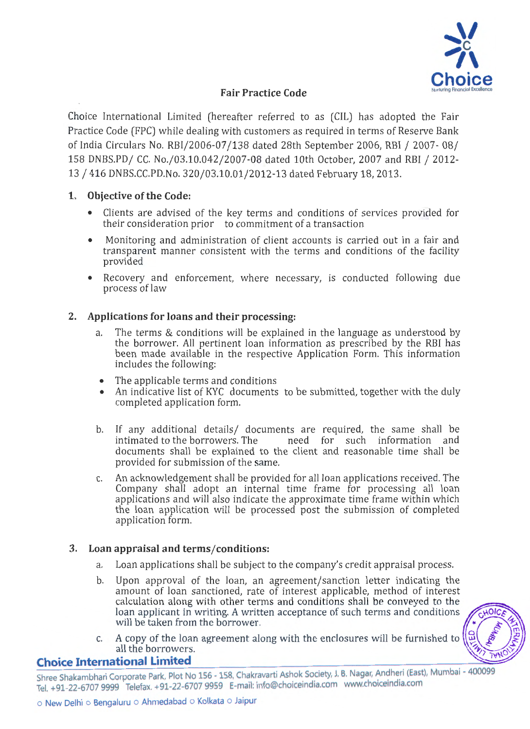

# Fair Practice Code

Choice International Limited (hereafter referred to as (CIL) has adopted the Fair Practice Code (FPC) while dealing with customers as required in terms of Reserve Bank of India Circulars No. RBI/2006-07/138 dated 28th September 2006, RBI / 2007- 08/ 158 DNBS.PD/ CC. No./03.10.042/2007-08 dated 10th October, 2007 and RBI / 2012-13 /416 DNBS.CC.PD.No. 320/03.10.01/2012-13 dated February 18, 2013.

## 1. Objective of the Code:

- Clients are advised of the key terms and conditions of services provided for their consideration prior to commitment of a transaction
- Monitoring and administration of client accounts is carried out in a fair and transparent manner consistent with the terms and conditions of the facility provided
- Recovery and enforcement, where necessary, is conducted following due process of law

## 2. Applications for loans and their processing:

- a. The terms & conditions will be explained in the language as understood by the borrower. All pertinent loan information as prescribed by the RBI has been made available in the respective Application Form. This information includes the following:
- The applicable terms and conditions
- An indicative list of KYC documents to be submitted, together with the duly completed application form.
- b. If any additional details/ documents are required, the same shall be intimated to the borrowers. The annode for such information and need for such information and documents shall be explained to the client and reasonable time shall be provided for submission of the same.
- c. An acknowledgement shall be provided for all loan applications received. The Company shall adopt an internal time frame for processing all loan applications and will also indicate the approximate time frame within which the loan application will be processed post the submission of completed application form.

## 3. Loan appraisal and terms/conditions:

- a. Loan applications shall be subject to the company's credit appraisal process.
- b. Upon approval of the loan, an agreement/sanction letter indicating the amount of loan sanctioned, rate of interest applicable, method of interest calculation along with other terms and conditions shall be conveyed to the loan applicant in writing. A written acceptance of such terms and conditions will be taken from the borrower.
- c. A copy of the loan agreement along with the enclosures will be furnished to all the borrowers.



## **Choice International Limited**

Shree Shakambhari Corporate Park, Plot No 156 - 158, Chakravarti Ashok Society, J. B. Nagar, Andheri (East), Mumbai - 400099 Tel. +91-22-6707 9999 Telefax. +91-22-6707 9959 E-mail: info@choiceindia.com www.choiceindia.com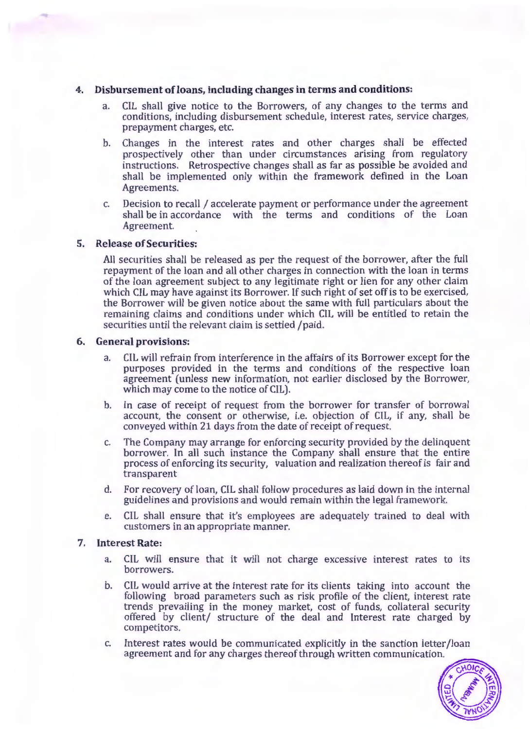### **4. Disbursement of loans, including changes in terms and conditions:**

- a. CIL shall give notice to the Borrowers, of any changes to the terms and conditions, including disbursement schedule, interest rates, service charges, prepayment charges, etc.
- b. Changes in the interest rates and other charges shall be effected prospectively other than under circumstances arising from regulatory instructions. Retrospective changes shall as far as possible be avoided and shall be implemented only within the framework defined in the Loan Agreements.
- c. Decision to recall / accelerate payment or performance under the agreement shall be in accordance with the terms and conditions of the Loan Agreement.

### **5. Release of Securities:**

All securities shall be released as per the request of the borrower, after the full repayment of the loan and all other charges in connection with the loan in terms of the loan agreement subject to any legitimate right or lien for any other claim which CIL may have against its Borrower. If such right of set off is to be exercised, the Borrower will be given notice about the same with full particulars about the remaining claims and conditions under which CIL will be entitled to retain the securities until the relevant claim is settled /paid.

### **6. General provisions:**

- a. CIL will refrain from interference in the affairs of its Borrower except for the purposes provided in the terms and conditions of the respective loan agreement (unless new information, not earlier disclosed by the Borrower, which may come to the notice of CIL).
- b. In case of receipt of request from the borrower for transfer of borrowal account, the consent or otherwise, i.e. objection of CIL, if any, shall be conveyed within 21 days from the date of receipt of request.
- c. The Company may arrange for enforcing security provided by the delinquent borrower. In all such instance the Company shall ensure that the entire process of enforcing its security, valuation and realization thereof is fair and transparent
- d. For recovery of loan, CIL shall follow procedures as laid down in the internal guidelines and provisions and would remain within the legal framework.
- e. CIL shall ensure that *it's* employees are adequately trained to deal with customers in an appropriate manner.

### **7. Interest Rate:**

- a. CIL will ensure that it will not charge excessive interest rates to its borrowers.
- b. CIL would arrive at the interest rate for its clients taking into account the following broad parameters such as risk profile of the client, interest rate trends prevailing in the money market, cost of funds, collateral security offered by client/ structure of the deal and Interest rate charged by competitors.
- c. Interest rates would be communicated explicitly in the sanction letter /loan agreement and for any charges thereof through written communication.